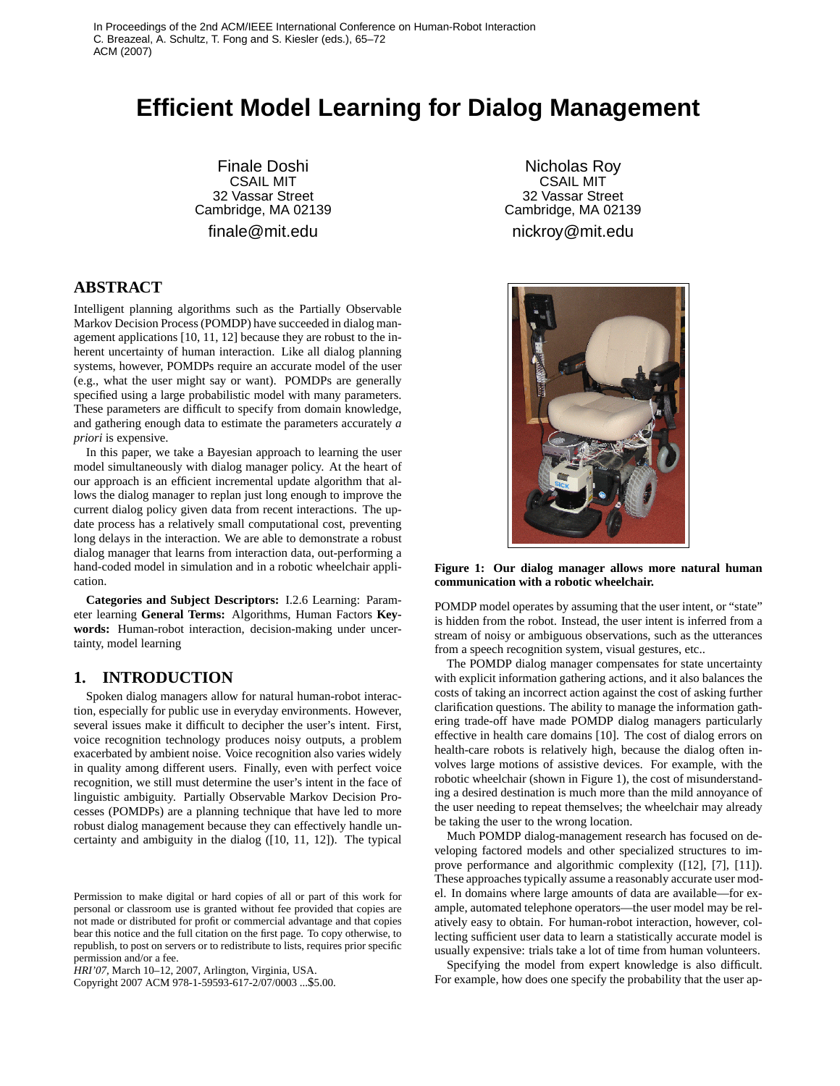# **Efficient Model Learning for Dialog Management**

Finale Doshi CSAIL MIT 32 Vassar Street Cambridge, MA 02139 finale@mit.edu

# **ABSTRACT**

Intelligent planning algorithms such as the Partially Observable Markov Decision Process (POMDP) have succeeded in dialog management applications [10, 11, 12] because they are robust to the inherent uncertainty of human interaction. Like all dialog planning systems, however, POMDPs require an accurate model of the user (e.g., what the user might say or want). POMDPs are generally specified using a large probabilistic model with many parameters. These parameters are difficult to specify from domain knowledge, and gathering enough data to estimate the parameters accurately *a priori* is expensive.

In this paper, we take a Bayesian approach to learning the user model simultaneously with dialog manager policy. At the heart of our approach is an efficient incremental update algorithm that allows the dialog manager to replan just long enough to improve the current dialog policy given data from recent interactions. The update process has a relatively small computational cost, preventing long delays in the interaction. We are able to demonstrate a robust dialog manager that learns from interaction data, out-performing a hand-coded model in simulation and in a robotic wheelchair application.

**Categories and Subject Descriptors:** I.2.6 Learning: Parameter learning **General Terms:** Algorithms, Human Factors **Keywords:** Human-robot interaction, decision-making under uncertainty, model learning

# **1. INTRODUCTION**

Spoken dialog managers allow for natural human-robot interaction, especially for public use in everyday environments. However, several issues make it difficult to decipher the user's intent. First, voice recognition technology produces noisy outputs, a problem exacerbated by ambient noise. Voice recognition also varies widely in quality among different users. Finally, even with perfect voice recognition, we still must determine the user's intent in the face of linguistic ambiguity. Partially Observable Markov Decision Processes (POMDPs) are a planning technique that have led to more robust dialog management because they can effectively handle uncertainty and ambiguity in the dialog ([10, 11, 12]). The typical

Copyright 2007 ACM 978-1-59593-617-2/07/0003 ...\$5.00.

Nicholas Roy CSAIL MIT 32 Vassar Street Cambridge, MA 02139 nickroy@mit.edu



**Figure 1: Our dialog manager allows more natural human communication with a robotic wheelchair.**

POMDP model operates by assuming that the user intent, or "state" is hidden from the robot. Instead, the user intent is inferred from a stream of noisy or ambiguous observations, such as the utterances from a speech recognition system, visual gestures, etc..

The POMDP dialog manager compensates for state uncertainty with explicit information gathering actions, and it also balances the costs of taking an incorrect action against the cost of asking further clarification questions. The ability to manage the information gathering trade-off have made POMDP dialog managers particularly effective in health care domains [10]. The cost of dialog errors on health-care robots is relatively high, because the dialog often involves large motions of assistive devices. For example, with the robotic wheelchair (shown in Figure 1), the cost of misunderstanding a desired destination is much more than the mild annoyance of the user needing to repeat themselves; the wheelchair may already be taking the user to the wrong location.

Much POMDP dialog-management research has focused on developing factored models and other specialized structures to improve performance and algorithmic complexity ([12], [7], [11]). These approaches typically assume a reasonably accurate user model. In domains where large amounts of data are available—for example, automated telephone operators—the user model may be relatively easy to obtain. For human-robot interaction, however, collecting sufficient user data to learn a statistically accurate model is usually expensive: trials take a lot of time from human volunteers.

Specifying the model from expert knowledge is also difficult. For example, how does one specify the probability that the user ap-

Permission to make digital or hard copies of all or part of this work for personal or classroom use is granted without fee provided that copies are not made or distributed for profit or commercial advantage and that copies bear this notice and the full citation on the first page. To copy otherwise, to republish, to post on servers or to redistribute to lists, requires prior specific permission and/or a fee.

*HRI'07,* March 10–12, 2007, Arlington, Virginia, USA.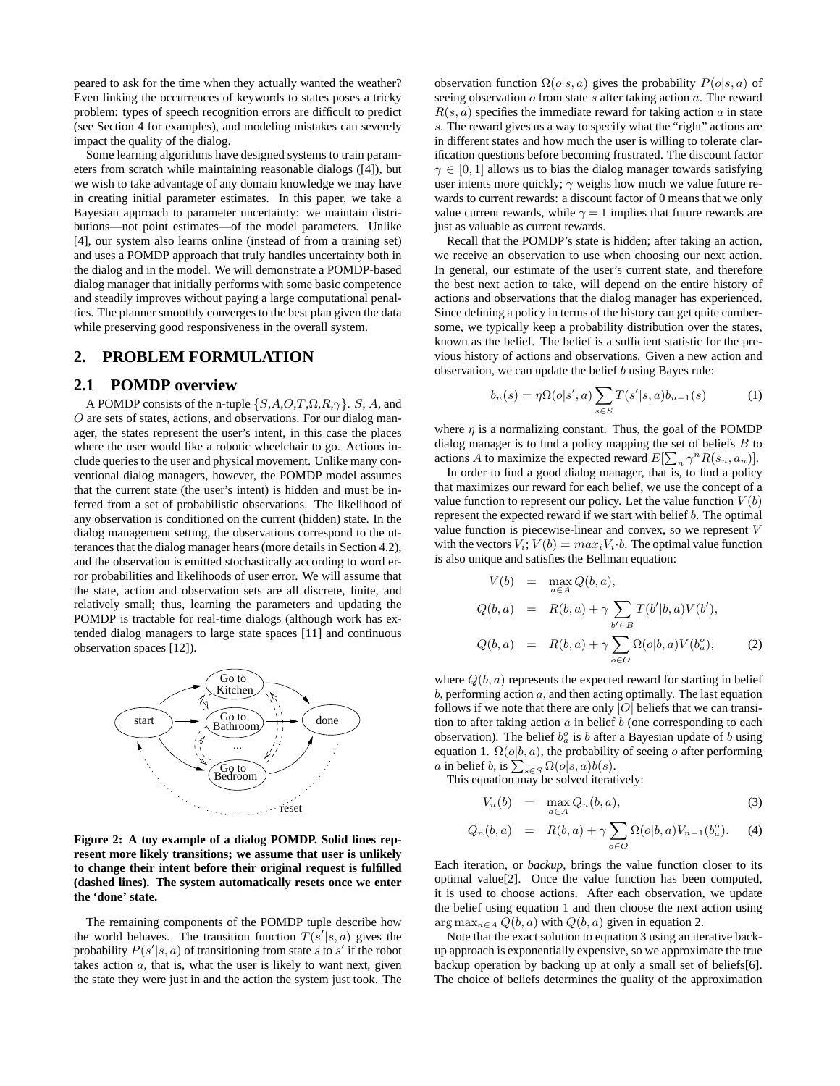peared to ask for the time when they actually wanted the weather? Even linking the occurrences of keywords to states poses a tricky problem: types of speech recognition errors are difficult to predict (see Section 4 for examples), and modeling mistakes can severely impact the quality of the dialog.

Some learning algorithms have designed systems to train parameters from scratch while maintaining reasonable dialogs ([4]), but we wish to take advantage of any domain knowledge we may have in creating initial parameter estimates. In this paper, we take a Bayesian approach to parameter uncertainty: we maintain distributions—not point estimates—of the model parameters. Unlike [4], our system also learns online (instead of from a training set) and uses a POMDP approach that truly handles uncertainty both in the dialog and in the model. We will demonstrate a POMDP-based dialog manager that initially performs with some basic competence and steadily improves without paying a large computational penalties. The planner smoothly converges to the best plan given the data while preserving good responsiveness in the overall system.

#### **2. PROBLEM FORMULATION**

# **2.1 POMDP overview**

A POMDP consists of the n-tuple  $\{S, A, O, T, \Omega, R, \gamma\}$ . S, A, and O are sets of states, actions, and observations. For our dialog manager, the states represent the user's intent, in this case the places where the user would like a robotic wheelchair to go. Actions include queries to the user and physical movement. Unlike many conventional dialog managers, however, the POMDP model assumes that the current state (the user's intent) is hidden and must be inferred from a set of probabilistic observations. The likelihood of any observation is conditioned on the current (hidden) state. In the dialog management setting, the observations correspond to the utterances that the dialog manager hears (more details in Section 4.2), and the observation is emitted stochastically according to word error probabilities and likelihoods of user error. We will assume that the state, action and observation sets are all discrete, finite, and relatively small; thus, learning the parameters and updating the POMDP is tractable for real-time dialogs (although work has extended dialog managers to large state spaces [11] and continuous observation spaces [12]).



**Figure 2: A toy example of a dialog POMDP. Solid lines represent more likely transitions; we assume that user is unlikely to change their intent before their original request is fulfilled (dashed lines). The system automatically resets once we enter the 'done' state.**

The remaining components of the POMDP tuple describe how the world behaves. The transition function  $T(s'|s, a)$  gives the probability  $P(s'|s, a)$  of transitioning from state s to s' if the robot takes action  $a$ , that is, what the user is likely to want next, given the state they were just in and the action the system just took. The

observation function  $\Omega(o|s, a)$  gives the probability  $P(o|s, a)$  of seeing observation  $o$  from state  $s$  after taking action  $a$ . The reward  $R(s, a)$  specifies the immediate reward for taking action a in state s. The reward gives us a way to specify what the "right" actions are in different states and how much the user is willing to tolerate clarification questions before becoming frustrated. The discount factor  $\gamma \in [0, 1]$  allows us to bias the dialog manager towards satisfying user intents more quickly;  $\gamma$  weighs how much we value future rewards to current rewards: a discount factor of 0 means that we only value current rewards, while  $\gamma = 1$  implies that future rewards are just as valuable as current rewards.

Recall that the POMDP's state is hidden; after taking an action, we receive an observation to use when choosing our next action. In general, our estimate of the user's current state, and therefore the best next action to take, will depend on the entire history of actions and observations that the dialog manager has experienced. Since defining a policy in terms of the history can get quite cumbersome, we typically keep a probability distribution over the states, known as the belief. The belief is a sufficient statistic for the previous history of actions and observations. Given a new action and observation, we can update the belief  $b$  using Bayes rule:

$$
b_n(s) = \eta \Omega(o|s', a) \sum_{s \in S} T(s'|s, a) b_{n-1}(s)
$$
 (1)

where  $\eta$  is a normalizing constant. Thus, the goal of the POMDP dialog manager is to find a policy mapping the set of beliefs  $B$  to actions A to maximize the expected reward  $E[\sum_n \gamma^n R(s_n, a_n)]$ .

In order to find a good dialog manager, that is, to find a policy that maximizes our reward for each belief, we use the concept of a value function to represent our policy. Let the value function  $V(b)$ represent the expected reward if we start with belief b. The optimal value function is piecewise-linear and convex, so we represent V with the vectors  $V_i$ ;  $V(b) = max_i V_i \cdot b$ . The optimal value function is also unique and satisfies the Bellman equation:

$$
V(b) = \max_{a \in A} Q(b, a),
$$
  
\n
$$
Q(b, a) = R(b, a) + \gamma \sum_{b' \in B} T(b'|b, a) V(b'),
$$
  
\n
$$
Q(b, a) = R(b, a) + \gamma \sum_{o \in O} \Omega(o|b, a) V(bao),
$$
\n(2)

where  $Q(b, a)$  represents the expected reward for starting in belief  $b$ , performing action  $a$ , and then acting optimally. The last equation follows if we note that there are only  $|O|$  beliefs that we can transition to after taking action  $a$  in belief  $b$  (one corresponding to each observation). The belief  $b_a^o$  is b after a Bayesian update of b using equation 1.  $\Omega(o|b, a)$ , the probability of seeing o after performing *a* in belief *b*, is  $\sum_{s \in S} \Omega(o|s, a) b(s)$ .

This equation may be solved iteratively:

$$
V_n(b) = \max_{a \in A} Q_n(b, a), \tag{3}
$$

$$
Q_n(b, a) = R(b, a) + \gamma \sum_{o \in O} \Omega(o|b, a) V_{n-1}(b_a^o).
$$
 (4)

Each iteration, or *backup*, brings the value function closer to its optimal value[2]. Once the value function has been computed, it is used to choose actions. After each observation, we update the belief using equation 1 and then choose the next action using  $\arg \max_{a \in A} Q(b, a)$  with  $Q(b, a)$  given in equation 2.

Note that the exact solution to equation 3 using an iterative backup approach is exponentially expensive, so we approximate the true backup operation by backing up at only a small set of beliefs[6]. The choice of beliefs determines the quality of the approximation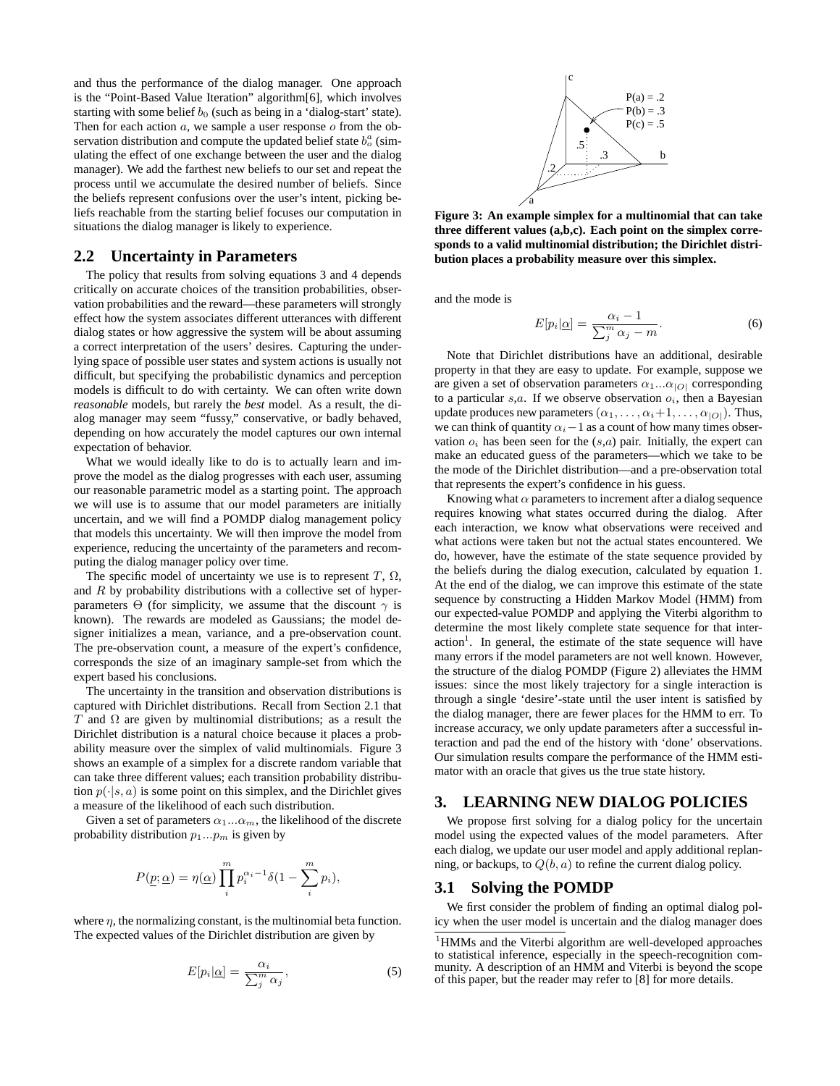and thus the performance of the dialog manager. One approach is the "Point-Based Value Iteration" algorithm[6], which involves starting with some belief  $b_0$  (such as being in a 'dialog-start' state). Then for each action  $a$ , we sample a user response  $o$  from the observation distribution and compute the updated belief state  $b_0^a$  (simulating the effect of one exchange between the user and the dialog manager). We add the farthest new beliefs to our set and repeat the process until we accumulate the desired number of beliefs. Since the beliefs represent confusions over the user's intent, picking beliefs reachable from the starting belief focuses our computation in situations the dialog manager is likely to experience.

# **2.2 Uncertainty in Parameters**

The policy that results from solving equations 3 and 4 depends critically on accurate choices of the transition probabilities, observation probabilities and the reward—these parameters will strongly effect how the system associates different utterances with different dialog states or how aggressive the system will be about assuming a correct interpretation of the users' desires. Capturing the underlying space of possible user states and system actions is usually not difficult, but specifying the probabilistic dynamics and perception models is difficult to do with certainty. We can often write down *reasonable* models, but rarely the *best* model. As a result, the dialog manager may seem "fussy," conservative, or badly behaved, depending on how accurately the model captures our own internal expectation of behavior.

What we would ideally like to do is to actually learn and improve the model as the dialog progresses with each user, assuming our reasonable parametric model as a starting point. The approach we will use is to assume that our model parameters are initially uncertain, and we will find a POMDP dialog management policy that models this uncertainty. We will then improve the model from experience, reducing the uncertainty of the parameters and recomputing the dialog manager policy over time.

The specific model of uncertainty we use is to represent  $T$ ,  $\Omega$ , and  $R$  by probability distributions with a collective set of hyperparameters Θ (for simplicity, we assume that the discount  $\gamma$  is known). The rewards are modeled as Gaussians; the model designer initializes a mean, variance, and a pre-observation count. The pre-observation count, a measure of the expert's confidence, corresponds the size of an imaginary sample-set from which the expert based his conclusions.

The uncertainty in the transition and observation distributions is captured with Dirichlet distributions. Recall from Section 2.1 that T and  $\Omega$  are given by multinomial distributions; as a result the Dirichlet distribution is a natural choice because it places a probability measure over the simplex of valid multinomials. Figure 3 shows an example of a simplex for a discrete random variable that can take three different values; each transition probability distribution  $p(\cdot|s, a)$  is some point on this simplex, and the Dirichlet gives a measure of the likelihood of each such distribution.

Given a set of parameters  $\alpha_1...\alpha_m$ , the likelihood of the discrete probability distribution  $p_1...p_m$  is given by

$$
P(\underline{p}; \underline{\alpha}) = \eta(\underline{\alpha}) \prod_{i}^{m} p_i^{\alpha_i - 1} \delta(1 - \sum_{i}^{m} p_i),
$$

where  $\eta$ , the normalizing constant, is the multinomial beta function. The expected values of the Dirichlet distribution are given by

$$
E[p_i | \underline{\alpha}] = \frac{\alpha_i}{\sum_j^m \alpha_j},\tag{5}
$$



**Figure 3: An example simplex for a multinomial that can take three different values (a,b,c). Each point on the simplex corresponds to a valid multinomial distribution; the Dirichlet distribution places a probability measure over this simplex.**

and the mode is

$$
E[p_i | \underline{\alpha}] = \frac{\alpha_i - 1}{\sum_j^m \alpha_j - m}.
$$
 (6)

Note that Dirichlet distributions have an additional, desirable property in that they are easy to update. For example, suppose we are given a set of observation parameters  $\alpha_1...\alpha_{|O|}$  corresponding to a particular  $s, a$ . If we observe observation  $o_i$ , then a Bayesian update produces new parameters  $(\alpha_1, \ldots, \alpha_i+1, \ldots, \alpha_{|O|})$ . Thus, we can think of quantity  $\alpha_i-1$  as a count of how many times observation  $o_i$  has been seen for the  $(s,a)$  pair. Initially, the expert can make an educated guess of the parameters—which we take to be the mode of the Dirichlet distribution—and a pre-observation total that represents the expert's confidence in his guess.

Knowing what  $\alpha$  parameters to increment after a dialog sequence requires knowing what states occurred during the dialog. After each interaction, we know what observations were received and what actions were taken but not the actual states encountered. We do, however, have the estimate of the state sequence provided by the beliefs during the dialog execution, calculated by equation 1. At the end of the dialog, we can improve this estimate of the state sequence by constructing a Hidden Markov Model (HMM) from our expected-value POMDP and applying the Viterbi algorithm to determine the most likely complete state sequence for that inter- $\arctan^1$ . In general, the estimate of the state sequence will have many errors if the model parameters are not well known. However, the structure of the dialog POMDP (Figure 2) alleviates the HMM issues: since the most likely trajectory for a single interaction is through a single 'desire'-state until the user intent is satisfied by the dialog manager, there are fewer places for the HMM to err. To increase accuracy, we only update parameters after a successful interaction and pad the end of the history with 'done' observations. Our simulation results compare the performance of the HMM estimator with an oracle that gives us the true state history.

# **3. LEARNING NEW DIALOG POLICIES**

We propose first solving for a dialog policy for the uncertain model using the expected values of the model parameters. After each dialog, we update our user model and apply additional replanning, or backups, to  $Q(b, a)$  to refine the current dialog policy.

#### **3.1 Solving the POMDP**

We first consider the problem of finding an optimal dialog policy when the user model is uncertain and the dialog manager does

<sup>&</sup>lt;sup>1</sup>HMMs and the Viterbi algorithm are well-developed approaches to statistical inference, especially in the speech-recognition community. A description of an HMM and Viterbi is beyond the scope of this paper, but the reader may refer to [8] for more details.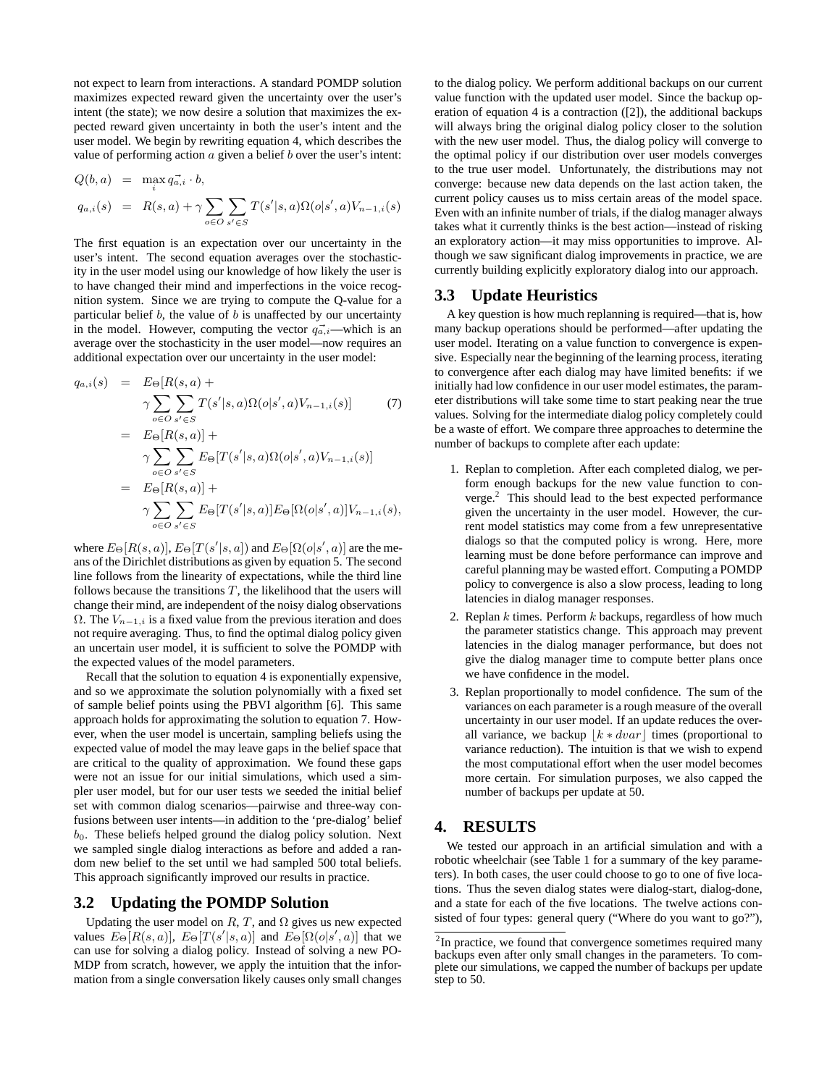not expect to learn from interactions. A standard POMDP solution maximizes expected reward given the uncertainty over the user's intent (the state); we now desire a solution that maximizes the expected reward given uncertainty in both the user's intent and the user model. We begin by rewriting equation 4, which describes the value of performing action  $\alpha$  given a belief  $\alpha$  over the user's intent:

$$
Q(b, a) = \max_{i} q_{a,i}^{-} \cdot b,
$$
  
\n
$$
q_{a,i}(s) = R(s, a) + \gamma \sum_{o \in O} \sum_{s' \in S} T(s'|s, a) \Omega(o|s', a) V_{n-1,i}(s)
$$

The first equation is an expectation over our uncertainty in the user's intent. The second equation averages over the stochasticity in the user model using our knowledge of how likely the user is to have changed their mind and imperfections in the voice recognition system. Since we are trying to compute the Q-value for a particular belief  $b$ , the value of  $b$  is unaffected by our uncertainty in the model. However, computing the vector  $q_{\alpha,i}^{\rightarrow}$ —which is an average over the stochasticity in the user model—now requires an additional expectation over our uncertainty in the user model:

$$
q_{a,i}(s) = E_{\Theta}[R(s, a) + \gamma \sum_{o \in O} \sum_{s' \in S} T(s'|s, a) \Omega(o|s', a)V_{n-1,i}(s)] \qquad (7)
$$
  
\n
$$
= E_{\Theta}[R(s, a)] + \gamma \sum_{o \in O} \sum_{s' \in S} E_{\Theta}[T(s'|s, a) \Omega(o|s', a)V_{n-1,i}(s)]
$$
  
\n
$$
= E_{\Theta}[R(s, a)] + \gamma \sum_{o \in O} \sum_{s' \in S} E_{\Theta}[T(s'|s, a)] E_{\Theta}[\Omega(o|s', a)]V_{n-1,i}(s),
$$

where  $E_{\Theta}[R(s, a)], E_{\Theta}[T(s' | s, a])$  and  $E_{\Theta}[\Omega(o | s', a)]$  are the means of the Dirichlet distributions as given by equation 5. The second line follows from the linearity of expectations, while the third line follows because the transitions  $T$ , the likelihood that the users will change their mind, are independent of the noisy dialog observations  $\Omega$ . The  $V_{n-1,i}$  is a fixed value from the previous iteration and does not require averaging. Thus, to find the optimal dialog policy given an uncertain user model, it is sufficient to solve the POMDP with the expected values of the model parameters.

Recall that the solution to equation 4 is exponentially expensive, and so we approximate the solution polynomially with a fixed set of sample belief points using the PBVI algorithm [6]. This same approach holds for approximating the solution to equation 7. However, when the user model is uncertain, sampling beliefs using the expected value of model the may leave gaps in the belief space that are critical to the quality of approximation. We found these gaps were not an issue for our initial simulations, which used a simpler user model, but for our user tests we seeded the initial belief set with common dialog scenarios—pairwise and three-way confusions between user intents—in addition to the 'pre-dialog' belief  $b<sub>0</sub>$ . These beliefs helped ground the dialog policy solution. Next we sampled single dialog interactions as before and added a random new belief to the set until we had sampled 500 total beliefs. This approach significantly improved our results in practice.

#### **3.2 Updating the POMDP Solution**

Updating the user model on  $R, T$ , and  $\Omega$  gives us new expected values  $E_{\Theta}[R(s, a)], E_{\Theta}[T(s' | s, a)]$  and  $E_{\Theta}[\Omega(o | s', a)]$  that we can use for solving a dialog policy. Instead of solving a new PO-MDP from scratch, however, we apply the intuition that the information from a single conversation likely causes only small changes to the dialog policy. We perform additional backups on our current value function with the updated user model. Since the backup operation of equation 4 is a contraction ([2]), the additional backups will always bring the original dialog policy closer to the solution with the new user model. Thus, the dialog policy will converge to the optimal policy if our distribution over user models converges to the true user model. Unfortunately, the distributions may not converge: because new data depends on the last action taken, the current policy causes us to miss certain areas of the model space. Even with an infinite number of trials, if the dialog manager always takes what it currently thinks is the best action—instead of risking an exploratory action—it may miss opportunities to improve. Although we saw significant dialog improvements in practice, we are currently building explicitly exploratory dialog into our approach.

#### **3.3 Update Heuristics**

A key question is how much replanning is required—that is, how many backup operations should be performed—after updating the user model. Iterating on a value function to convergence is expensive. Especially near the beginning of the learning process, iterating to convergence after each dialog may have limited benefits: if we initially had low confidence in our user model estimates, the parameter distributions will take some time to start peaking near the true values. Solving for the intermediate dialog policy completely could be a waste of effort. We compare three approaches to determine the number of backups to complete after each update:

- 1. Replan to completion. After each completed dialog, we perform enough backups for the new value function to converge.<sup>2</sup> This should lead to the best expected performance given the uncertainty in the user model. However, the current model statistics may come from a few unrepresentative dialogs so that the computed policy is wrong. Here, more learning must be done before performance can improve and careful planning may be wasted effort. Computing a POMDP policy to convergence is also a slow process, leading to long latencies in dialog manager responses.
- 2. Replan  $k$  times. Perform  $k$  backups, regardless of how much the parameter statistics change. This approach may prevent latencies in the dialog manager performance, but does not give the dialog manager time to compute better plans once we have confidence in the model.
- 3. Replan proportionally to model confidence. The sum of the variances on each parameter is a rough measure of the overall uncertainty in our user model. If an update reduces the overall variance, we backup  $\vert k \ast dvar \vert$  times (proportional to variance reduction). The intuition is that we wish to expend the most computational effort when the user model becomes more certain. For simulation purposes, we also capped the number of backups per update at 50.

#### **4. RESULTS**

We tested our approach in an artificial simulation and with a robotic wheelchair (see Table 1 for a summary of the key parameters). In both cases, the user could choose to go to one of five locations. Thus the seven dialog states were dialog-start, dialog-done, and a state for each of the five locations. The twelve actions consisted of four types: general query ("Where do you want to go?"),

 $2$ In practice, we found that convergence sometimes required many backups even after only small changes in the parameters. To complete our simulations, we capped the number of backups per update step to 50.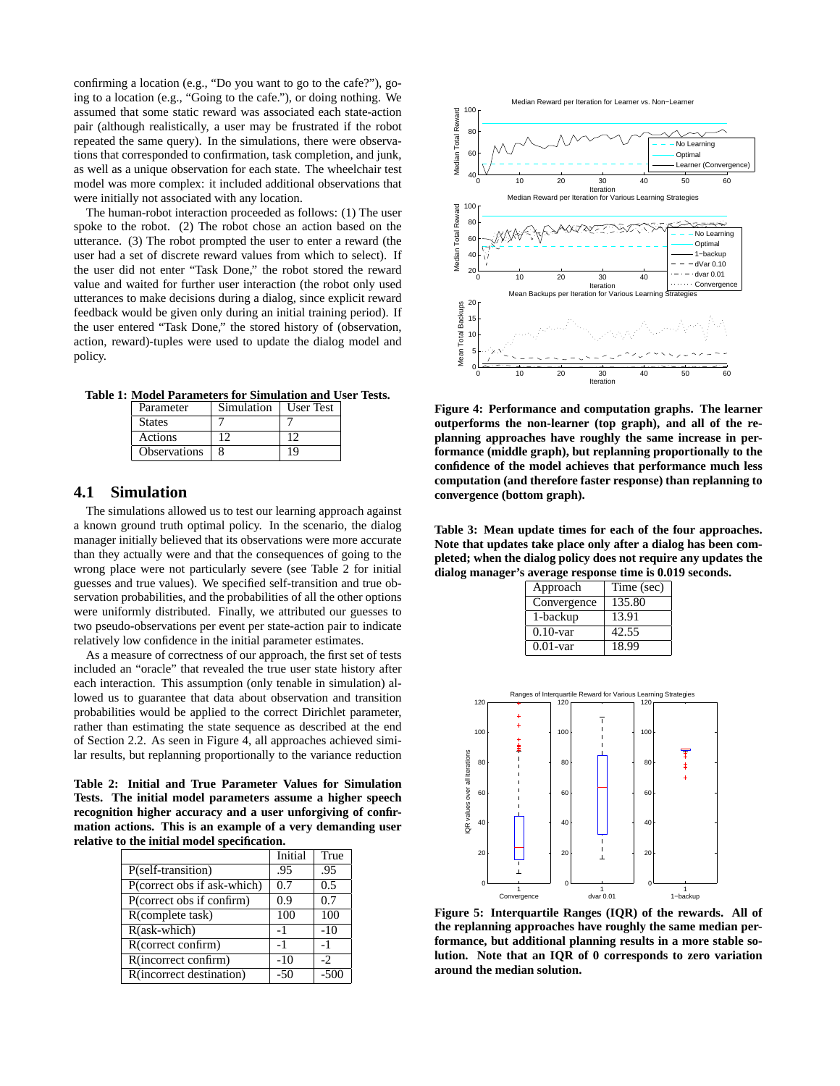confirming a location (e.g., "Do you want to go to the cafe?"), going to a location (e.g., "Going to the cafe."), or doing nothing. We assumed that some static reward was associated each state-action pair (although realistically, a user may be frustrated if the robot repeated the same query). In the simulations, there were observations that corresponded to confirmation, task completion, and junk, as well as a unique observation for each state. The wheelchair test model was more complex: it included additional observations that were initially not associated with any location.

The human-robot interaction proceeded as follows: (1) The user spoke to the robot. (2) The robot chose an action based on the utterance. (3) The robot prompted the user to enter a reward (the user had a set of discrete reward values from which to select). If the user did not enter "Task Done," the robot stored the reward value and waited for further user interaction (the robot only used utterances to make decisions during a dialog, since explicit reward feedback would be given only during an initial training period). If the user entered "Task Done," the stored history of (observation, action, reward)-tuples were used to update the dialog model and policy.

**Table 1: Model Parameters for Simulation and User Tests.**

| Parameter           | Simulation | <b>User Test</b> |
|---------------------|------------|------------------|
| <b>States</b>       |            |                  |
| Actions             |            |                  |
| <b>Observations</b> |            | 19               |

#### **4.1 Simulation**

The simulations allowed us to test our learning approach against a known ground truth optimal policy. In the scenario, the dialog manager initially believed that its observations were more accurate than they actually were and that the consequences of going to the wrong place were not particularly severe (see Table 2 for initial guesses and true values). We specified self-transition and true observation probabilities, and the probabilities of all the other options were uniformly distributed. Finally, we attributed our guesses to two pseudo-observations per event per state-action pair to indicate relatively low confidence in the initial parameter estimates.

As a measure of correctness of our approach, the first set of tests included an "oracle" that revealed the true user state history after each interaction. This assumption (only tenable in simulation) allowed us to guarantee that data about observation and transition probabilities would be applied to the correct Dirichlet parameter, rather than estimating the state sequence as described at the end of Section 2.2. As seen in Figure 4, all approaches achieved similar results, but replanning proportionally to the variance reduction

**Table 2: Initial and True Parameter Values for Simulation Tests. The initial model parameters assume a higher speech recognition higher accuracy and a user unforgiving of confirmation actions. This is an example of a very demanding user relative to the initial model specification.**

|                             | Initial | True   |
|-----------------------------|---------|--------|
| P(self-transition)          | .95     | .95    |
| P(correct obs if ask-which) | 0.7     | 0.5    |
| P(correct obs if confirm)   | 0.9     | 0.7    |
| R(complete task)            | 100     | 100    |
| R(ask-which)                | $-1$    | $-10$  |
| R(correct confirm)          | -1      | -1     |
| R(incorrect confirm)        | -10     | $-2$   |
| R(incorrect destination)    | -50     | $-500$ |



**Figure 4: Performance and computation graphs. The learner outperforms the non-learner (top graph), and all of the replanning approaches have roughly the same increase in performance (middle graph), but replanning proportionally to the confidence of the model achieves that performance much less computation (and therefore faster response) than replanning to convergence (bottom graph).**

**Table 3: Mean update times for each of the four approaches. Note that updates take place only after a dialog has been completed; when the dialog policy does not require any updates the dialog manager's average response time is 0.019 seconds.**

| Approach    | Time (sec) |
|-------------|------------|
| Convergence | 135.80     |
| 1-backup    | 13.91      |
| $0.10$ -var | 42.55      |
| $0.01$ -var | 18.99      |



**Figure 5: Interquartile Ranges (IQR) of the rewards. All of the replanning approaches have roughly the same median performance, but additional planning results in a more stable solution. Note that an IQR of 0 corresponds to zero variation around the median solution.**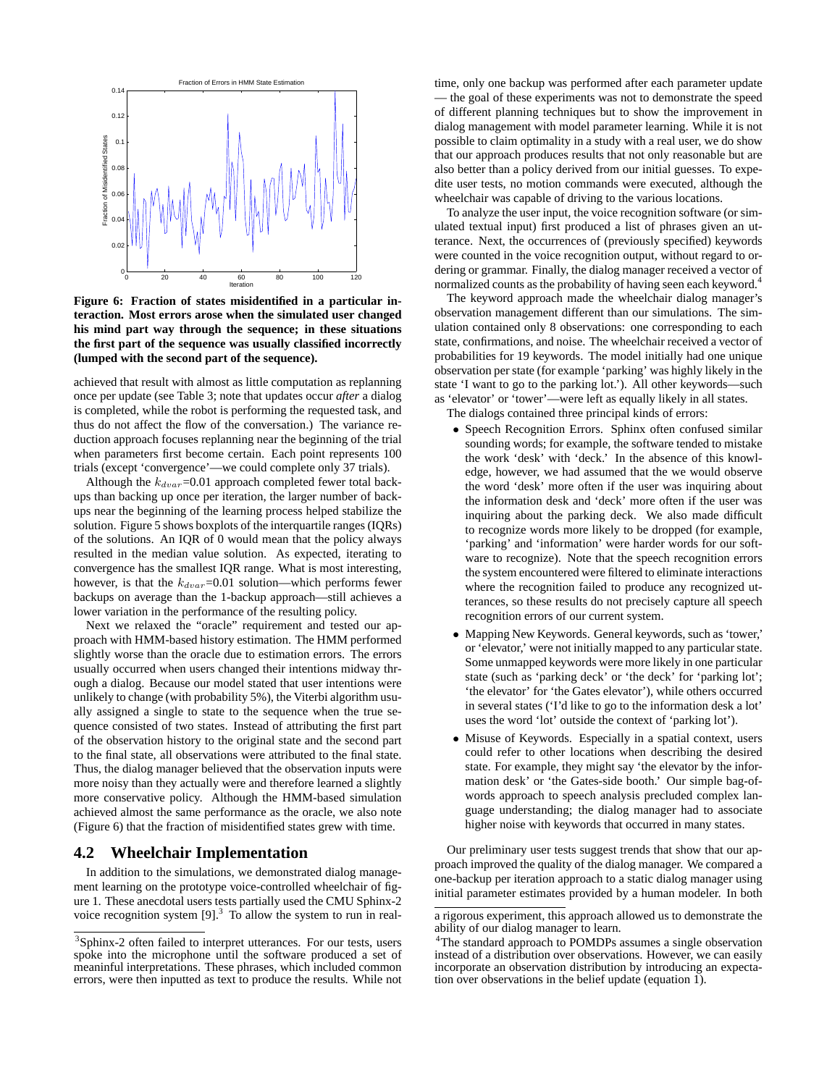

**Figure 6: Fraction of states misidentified in a particular interaction. Most errors arose when the simulated user changed his mind part way through the sequence; in these situations the first part of the sequence was usually classified incorrectly (lumped with the second part of the sequence).**

achieved that result with almost as little computation as replanning once per update (see Table 3; note that updates occur *after* a dialog is completed, while the robot is performing the requested task, and thus do not affect the flow of the conversation.) The variance reduction approach focuses replanning near the beginning of the trial when parameters first become certain. Each point represents 100 trials (except 'convergence'—we could complete only 37 trials).

Although the  $k_{dvar}$ =0.01 approach completed fewer total backups than backing up once per iteration, the larger number of backups near the beginning of the learning process helped stabilize the solution. Figure 5 shows boxplots of the interquartile ranges (IQRs) of the solutions. An IQR of 0 would mean that the policy always resulted in the median value solution. As expected, iterating to convergence has the smallest IQR range. What is most interesting, however, is that the  $k_{dvar}$ =0.01 solution—which performs fewer backups on average than the 1-backup approach—still achieves a lower variation in the performance of the resulting policy.

Next we relaxed the "oracle" requirement and tested our approach with HMM-based history estimation. The HMM performed slightly worse than the oracle due to estimation errors. The errors usually occurred when users changed their intentions midway through a dialog. Because our model stated that user intentions were unlikely to change (with probability 5%), the Viterbi algorithm usually assigned a single to state to the sequence when the true sequence consisted of two states. Instead of attributing the first part of the observation history to the original state and the second part to the final state, all observations were attributed to the final state. Thus, the dialog manager believed that the observation inputs were more noisy than they actually were and therefore learned a slightly more conservative policy. Although the HMM-based simulation achieved almost the same performance as the oracle, we also note (Figure 6) that the fraction of misidentified states grew with time.

#### **4.2 Wheelchair Implementation**

In addition to the simulations, we demonstrated dialog management learning on the prototype voice-controlled wheelchair of figure 1. These anecdotal users tests partially used the CMU Sphinx-2 voice recognition system  $[9]$ <sup>3</sup>. To allow the system to run in realtime, only one backup was performed after each parameter update — the goal of these experiments was not to demonstrate the speed of different planning techniques but to show the improvement in dialog management with model parameter learning. While it is not possible to claim optimality in a study with a real user, we do show that our approach produces results that not only reasonable but are also better than a policy derived from our initial guesses. To expedite user tests, no motion commands were executed, although the wheelchair was capable of driving to the various locations.

To analyze the user input, the voice recognition software (or simulated textual input) first produced a list of phrases given an utterance. Next, the occurrences of (previously specified) keywords were counted in the voice recognition output, without regard to ordering or grammar. Finally, the dialog manager received a vector of normalized counts as the probability of having seen each keyword.<sup>4</sup>

The keyword approach made the wheelchair dialog manager's observation management different than our simulations. The simulation contained only 8 observations: one corresponding to each state, confirmations, and noise. The wheelchair received a vector of probabilities for 19 keywords. The model initially had one unique observation per state (for example 'parking' was highly likely in the state 'I want to go to the parking lot.'). All other keywords—such as 'elevator' or 'tower'—were left as equally likely in all states.

The dialogs contained three principal kinds of errors:

- Speech Recognition Errors. Sphinx often confused similar sounding words; for example, the software tended to mistake the work 'desk' with 'deck.' In the absence of this knowledge, however, we had assumed that the we would observe the word 'desk' more often if the user was inquiring about the information desk and 'deck' more often if the user was inquiring about the parking deck. We also made difficult to recognize words more likely to be dropped (for example, 'parking' and 'information' were harder words for our software to recognize). Note that the speech recognition errors the system encountered were filtered to eliminate interactions where the recognition failed to produce any recognized utterances, so these results do not precisely capture all speech recognition errors of our current system.
- Mapping New Keywords. General keywords, such as 'tower,' or 'elevator,' were not initially mapped to any particular state. Some unmapped keywords were more likely in one particular state (such as 'parking deck' or 'the deck' for 'parking lot'; 'the elevator' for 'the Gates elevator'), while others occurred in several states ('I'd like to go to the information desk a lot' uses the word 'lot' outside the context of 'parking lot').
- Misuse of Keywords. Especially in a spatial context, users could refer to other locations when describing the desired state. For example, they might say 'the elevator by the information desk' or 'the Gates-side booth.' Our simple bag-ofwords approach to speech analysis precluded complex language understanding; the dialog manager had to associate higher noise with keywords that occurred in many states.

Our preliminary user tests suggest trends that show that our approach improved the quality of the dialog manager. We compared a one-backup per iteration approach to a static dialog manager using initial parameter estimates provided by a human modeler. In both

<sup>&</sup>lt;sup>3</sup>Sphinx-2 often failed to interpret utterances. For our tests, users spoke into the microphone until the software produced a set of meaninful interpretations. These phrases, which included common errors, were then inputted as text to produce the results. While not

a rigorous experiment, this approach allowed us to demonstrate the ability of our dialog manager to learn.

<sup>&</sup>lt;sup>4</sup>The standard approach to POMDPs assumes a single observation instead of a distribution over observations. However, we can easily incorporate an observation distribution by introducing an expectation over observations in the belief update (equation 1).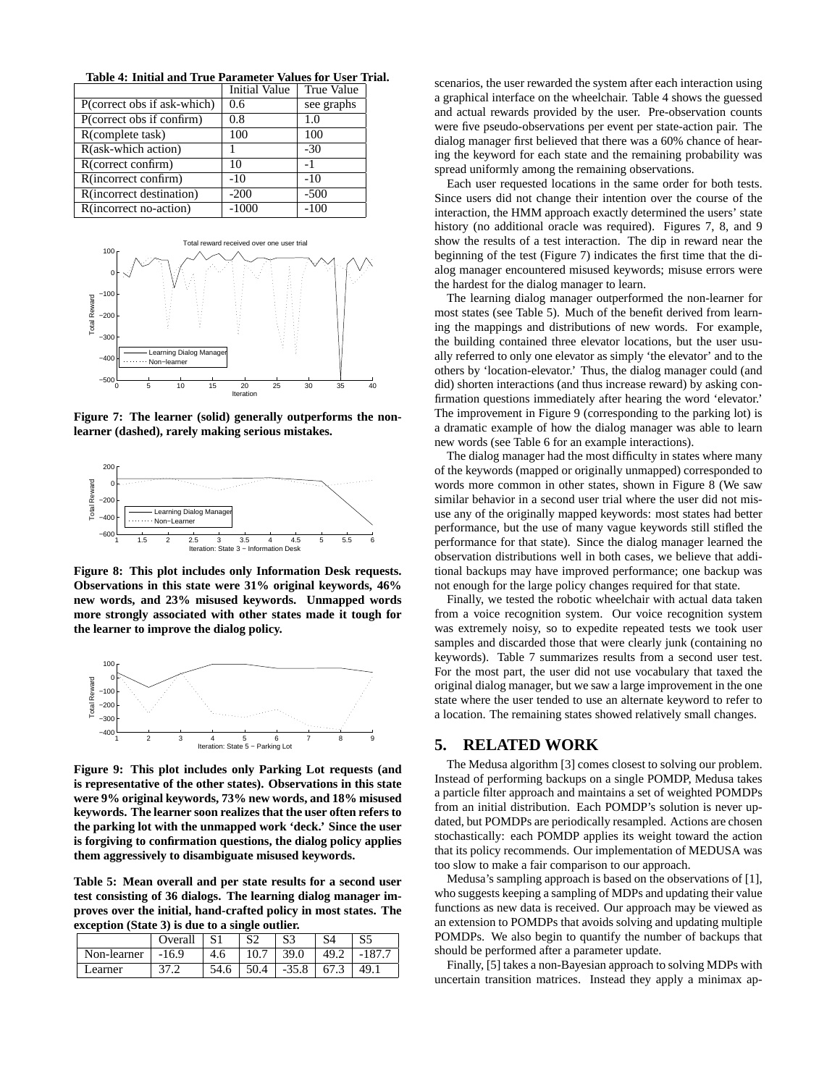|                             | <b>Initial Value</b> | True Value |
|-----------------------------|----------------------|------------|
| P(correct obs if ask-which) | 0.6                  | see graphs |
| P(correct obs if confirm)   | 0.8                  | 1.0        |
| R(complete task)            | 100                  | 100        |
| R(ask-which action)         |                      | $-30$      |
| R(correct confirm)          | 10                   | -1         |
| R(incorrect confirm)        | $-10$                | $-10$      |
| R(incorrect destination)    | $-200$               | $-500$     |
| R(incorrect no-action)      | $-1000$              | $-100$     |

**Table 4: Initial and True Parameter Values for User Trial.**



**Figure 7: The learner (solid) generally outperforms the nonlearner (dashed), rarely making serious mistakes.**



**Figure 8: This plot includes only Information Desk requests. Observations in this state were 31% original keywords, 46% new words, and 23% misused keywords. Unmapped words more strongly associated with other states made it tough for the learner to improve the dialog policy.**



**Figure 9: This plot includes only Parking Lot requests (and is representative of the other states). Observations in this state were 9% original keywords, 73% new words, and 18% misused keywords. The learner soon realizes that the user often refers to the parking lot with the unmapped work 'deck.' Since the user is forgiving to confirmation questions, the dialog policy applies them aggressively to disambiguate misused keywords.**

**Table 5: Mean overall and per state results for a second user test consisting of 36 dialogs. The learning dialog manager improves over the initial, hand-crafted policy in most states. The exception (State 3) is due to a single outlier.**

|             | Overall |     | $\mathbf{C} \cap$ | S3      |      |      |
|-------------|---------|-----|-------------------|---------|------|------|
| Non-learner | $-16.9$ | 4.6 |                   | 39.0    | 49.2 |      |
| earner      |         |     | 50.4              | $-35.8$ | د.67 | 49.1 |

scenarios, the user rewarded the system after each interaction using a graphical interface on the wheelchair. Table 4 shows the guessed and actual rewards provided by the user. Pre-observation counts were five pseudo-observations per event per state-action pair. The dialog manager first believed that there was a 60% chance of hearing the keyword for each state and the remaining probability was spread uniformly among the remaining observations.

Each user requested locations in the same order for both tests. Since users did not change their intention over the course of the interaction, the HMM approach exactly determined the users' state history (no additional oracle was required). Figures 7, 8, and 9 show the results of a test interaction. The dip in reward near the beginning of the test (Figure 7) indicates the first time that the dialog manager encountered misused keywords; misuse errors were the hardest for the dialog manager to learn.

The learning dialog manager outperformed the non-learner for most states (see Table 5). Much of the benefit derived from learning the mappings and distributions of new words. For example, the building contained three elevator locations, but the user usually referred to only one elevator as simply 'the elevator' and to the others by 'location-elevator.' Thus, the dialog manager could (and did) shorten interactions (and thus increase reward) by asking confirmation questions immediately after hearing the word 'elevator.' The improvement in Figure 9 (corresponding to the parking lot) is a dramatic example of how the dialog manager was able to learn new words (see Table 6 for an example interactions).

The dialog manager had the most difficulty in states where many of the keywords (mapped or originally unmapped) corresponded to words more common in other states, shown in Figure 8 (We saw similar behavior in a second user trial where the user did not misuse any of the originally mapped keywords: most states had better performance, but the use of many vague keywords still stifled the performance for that state). Since the dialog manager learned the observation distributions well in both cases, we believe that additional backups may have improved performance; one backup was not enough for the large policy changes required for that state.

Finally, we tested the robotic wheelchair with actual data taken from a voice recognition system. Our voice recognition system was extremely noisy, so to expedite repeated tests we took user samples and discarded those that were clearly junk (containing no keywords). Table 7 summarizes results from a second user test. For the most part, the user did not use vocabulary that taxed the original dialog manager, but we saw a large improvement in the one state where the user tended to use an alternate keyword to refer to a location. The remaining states showed relatively small changes.

# **5. RELATED WORK**

The Medusa algorithm [3] comes closest to solving our problem. Instead of performing backups on a single POMDP, Medusa takes a particle filter approach and maintains a set of weighted POMDPs from an initial distribution. Each POMDP's solution is never updated, but POMDPs are periodically resampled. Actions are chosen stochastically: each POMDP applies its weight toward the action that its policy recommends. Our implementation of MEDUSA was too slow to make a fair comparison to our approach.

Medusa's sampling approach is based on the observations of [1], who suggests keeping a sampling of MDPs and updating their value functions as new data is received. Our approach may be viewed as an extension to POMDPs that avoids solving and updating multiple POMDPs. We also begin to quantify the number of backups that should be performed after a parameter update.

Finally, [5] takes a non-Bayesian approach to solving MDPs with uncertain transition matrices. Instead they apply a minimax ap